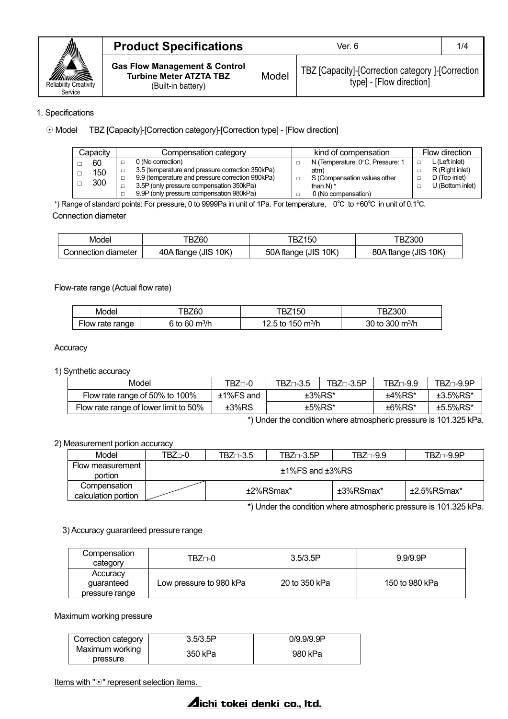

| <b>Product Specifications</b>                                                                    | Ver. 6 |                                                                               |  |
|--------------------------------------------------------------------------------------------------|--------|-------------------------------------------------------------------------------|--|
| <b>Gas Flow Management &amp; Control</b><br><b>Turbine Meter ATZTA TBZ</b><br>(Built-in battery) | Model  | TBZ [Capacity]-[Correction category ]-[Correction<br>type] - [Flow direction] |  |

### 1. Specifications

### Model TBZ [Capacity]-[Correction category]-[Correction type] - [Flow direction]

| Capacitv | Compensation category |                                                  | kind of compensation |                                  | Flow direction |                  |
|----------|-----------------------|--------------------------------------------------|----------------------|----------------------------------|----------------|------------------|
| 60       |                       | 0 (No correction)                                |                      | N (Temperature: 0°C, Pressure: 1 |                | L (Left inlet)   |
| 150      |                       | 3.5 (temperature and pressure correction 350kPa) |                      | atm)                             |                | R (Right inlet)  |
|          |                       | 9.9 (temperature and pressure correction 980kPa) |                      | S (Compensation values other     |                | D (Top inlet)    |
| 300      |                       | 3.5P (only pressure compensation 350kPa)         |                      | than $N$ <sup>*</sup>            |                | U (Bottom inlet) |
|          |                       | 9.9P (only pressure compensation 980kPa)         |                      | 0 (No compensation)              |                |                  |

\*) Range of standard points: For pressure, 0 to 9999Pa in unit of 1Pa. For temperature, 0℃ to +60℃ in unit of 0.1℃. Connection diameter

| Model                  | BZ60<br>н                 | 50<br>DZ.                       | Z300ء                          |
|------------------------|---------------------------|---------------------------------|--------------------------------|
| diameter<br>connection | 10K<br>(JIS<br>40A flange | 10K<br>(JIS<br>50A<br>∶tlanqe i | 10K<br>(JIS<br>80A<br>. flanqe |

## Flow-rate range (Actual flow rate)

| Model           | BZ60                | BZ150                         | <b>BZ300</b>                        |
|-----------------|---------------------|-------------------------------|-------------------------------------|
| Flow rate range | 6 to 60 $\rm m^3/h$ | 12.5 to 150 m <sup>3</sup> /h | 30 to 300 $\mathrm{m}^3/\mathrm{h}$ |

#### **Accuracy**

1) Synthetic accuracy

| Model                                 | TBZ⊓-0                                                                                            | $TBZ\Box -3.5$ | $TBZ\Box -3.5P$ | TBZ⊓-9.9 | TBZ⊓-9.9P   |
|---------------------------------------|---------------------------------------------------------------------------------------------------|----------------|-----------------|----------|-------------|
| Flow rate range of 50% to 100%        | ±1%FS and                                                                                         |                | $±3\%RS^*$      | ±4%RS*   | $±3.5\%RS*$ |
| Flow rate range of lower limit to 50% | ±3%RS                                                                                             |                | $±5\%RS*$       | ±6%RS*   | $±5.5\%RS*$ |
|                                       | $\mathbf{1} \cdot \mathbf{1}$ and $\mathbf{1} \cdot \mathbf{1}$ and $\mathbf{1} \cdot \mathbf{1}$ |                |                 |          | .           |

\*) Under the condition where atmospheric pressure is 101.325 kPa.

### 2) Measurement portion accuracy

| Model                               | TBZ⊓-0                  | $TBZ\Box -3.5$ | $TBZ\Box -3.5P$ | $TBZ\Box -9.9$ | $TBZ\Box -9.9P$ |  |
|-------------------------------------|-------------------------|----------------|-----------------|----------------|-----------------|--|
| Flow measurement<br>portion         | $±1\%$ FS and $±3\%$ RS |                |                 |                |                 |  |
| Compensation<br>calculation portion |                         | +2%RSmax*      |                 | ±3%RSmax*      | +2.5%RSmax*     |  |
|                                     |                         |                | .               |                | .               |  |

\*) Under the condition where atmospheric pressure is 101.325 kPa.

### 3) Accuracy guaranteed pressure range

| Compensation<br>category                 | TBZ⊓-0                  | 3.5/3.5P      | 9.9/9.9P       |
|------------------------------------------|-------------------------|---------------|----------------|
| Accuracy<br>quaranteed<br>pressure range | Low pressure to 980 kPa | 20 to 350 kPa | 150 to 980 kPa |

Maximum working pressure

| Correction category | 3.5/3.5P | 0/9.9/9.9P |
|---------------------|----------|------------|
| Maximum working     | 350 kPa  | 980 kPa    |
| pressure            |          |            |

Items with " $\odot$ " represent selection items.

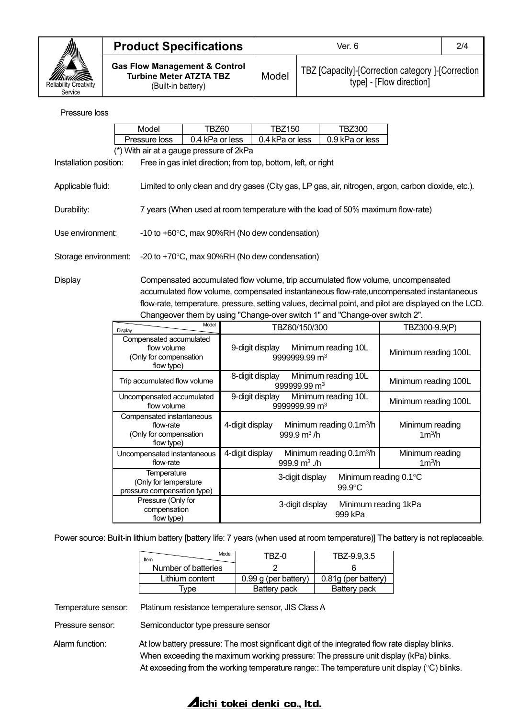

| <b>Product Specifications</b>                                                                    | 2/4<br>Ver. 6 |                                                                               |  |
|--------------------------------------------------------------------------------------------------|---------------|-------------------------------------------------------------------------------|--|
| <b>Gas Flow Management &amp; Control</b><br><b>Turbine Meter ATZTA TBZ</b><br>(Built-in battery) | Model         | TBZ [Capacity]-[Correction category ]-[Correction<br>type] - [Flow direction] |  |

### Pressure loss

|                                                                                                                          | Model         | TBZ60           | TBZ150                                                        | TBZ300          |  |  |
|--------------------------------------------------------------------------------------------------------------------------|---------------|-----------------|---------------------------------------------------------------|-----------------|--|--|
|                                                                                                                          | Pressure loss | 0.4 kPa or less | 0.4 kPa or less                                               | 0.9 kPa or less |  |  |
| (*) With air at a gauge pressure of 2kPa                                                                                 |               |                 |                                                               |                 |  |  |
| Installation position:                                                                                                   |               |                 | Free in gas inlet direction; from top, bottom, left, or right |                 |  |  |
| Applicable fluid:<br>Limited to only clean and dry gases (City gas, LP gas, air, nitrogen, argon, carbon dioxide, etc.). |               |                 |                                                               |                 |  |  |
| 7 years (When used at room temperature with the load of 50% maximum flow-rate)<br>Durability:                            |               |                 |                                                               |                 |  |  |
| Use environment:                                                                                                         |               |                 | $-10$ to $+60^{\circ}$ C, max 90%RH (No dew condensation)     |                 |  |  |
| Storage environment:                                                                                                     |               |                 | -20 to $+70^{\circ}$ C, max 90%RH (No dew condensation)       |                 |  |  |

Display Compensated accumulated flow volume, trip accumulated flow volume, uncompensated accumulated flow volume, compensated instantaneous flow-rate,uncompensated instantaneous flow-rate, temperature, pressure, setting values, decimal point, and pilot are displayed on the LCD. Changeover them by using "Change-over switch 1" and "Change-over switch 2".

| Model<br>Display                                                               | TBZ60/150/300                                                             | TBZ300-9.9(P)                         |
|--------------------------------------------------------------------------------|---------------------------------------------------------------------------|---------------------------------------|
| Compensated accumulated<br>flow volume<br>(Only for compensation<br>flow type) | Minimum reading 10L<br>9-digit display<br>9999999.99 m <sup>3</sup>       | Minimum reading 100L                  |
| Trip accumulated flow volume                                                   | Minimum reading 10L<br>8-digit display<br>999999.99 m <sup>3</sup>        | Minimum reading 100L                  |
| Uncompensated accumulated<br>flow volume                                       | 9-digit display<br>Minimum reading 10L<br>9999999.99 m <sup>3</sup>       | Minimum reading 100L                  |
| Compensated instantaneous<br>flow-rate<br>(Only for compensation<br>flow type) | Minimum reading 0.1m <sup>3</sup> /h<br>4-digit display<br>999.9 $m^3/h$  | Minimum reading<br>1m <sup>3</sup> /h |
| Uncompensated instantaneous<br>flow-rate                                       | Minimum reading 0.1m <sup>3</sup> /h<br>4-digit display<br>999.9 $m3$ ./h | Minimum reading<br>1m <sup>3</sup> /h |
| Temperature<br>(Only for temperature<br>pressure compensation type)            | 3-digit display<br>$99.9^{\circ}$ C                                       | Minimum reading 0.1°C                 |
| Pressure (Only for<br>compensation<br>flow type)                               | 3-digit display<br>999 kPa                                                | Minimum reading 1kPa                  |

Power source: Built-in lithium battery [battery life: 7 years (when used at room temperature)] The battery is not replaceable.

| Model<br>Item       | TBZ-0                  | TBZ-9.9,3.5         |
|---------------------|------------------------|---------------------|
| Number of batteries |                        |                     |
| Lithium content     | $0.99$ g (per battery) | 0.81g (per battery) |
| vpe                 | Battery pack           | Battery pack        |

Temperature sensor: Platinum resistance temperature sensor, JIS Class A

Pressure sensor: Semiconductor type pressure sensor

Alarm function: At low battery pressure: The most significant digit of the integrated flow rate display blinks. When exceeding the maximum working pressure: The pressure unit display (kPa) blinks. At exceeding from the working temperature range:: The temperature unit display ( $\degree$ C) blinks.

# **Aichi tokei denki co., Itd.**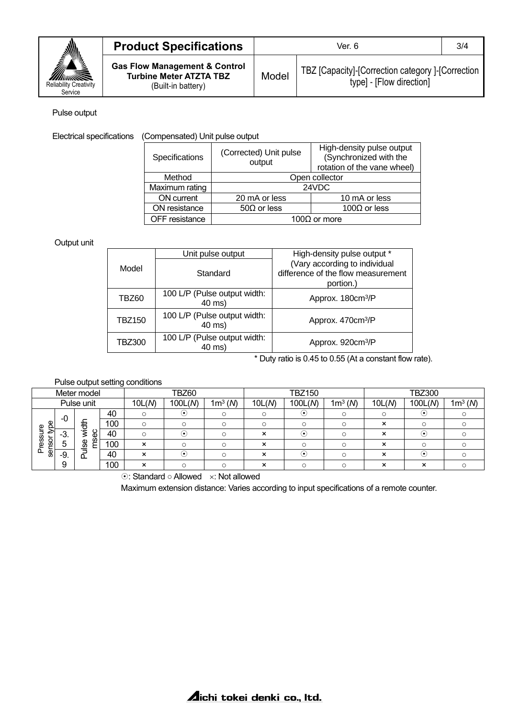

| <b>Product Specifications</b>                                                                    | Ver. 6 |                                                                               |  |
|--------------------------------------------------------------------------------------------------|--------|-------------------------------------------------------------------------------|--|
| <b>Gas Flow Management &amp; Control</b><br><b>Turbine Meter ATZTA TBZ</b><br>(Built-in battery) | Model  | TBZ [Capacity]-[Correction category ]-[Correction<br>type] - [Flow direction] |  |

### Pulse output

Electrical specifications (Compensated) Unit pulse output

| Specifications | (Corrected) Unit pulse<br>output           | High-density pulse output<br>(Synchronized with the<br>rotation of the vane wheel) |  |  |
|----------------|--------------------------------------------|------------------------------------------------------------------------------------|--|--|
| Method         | Open collector                             |                                                                                    |  |  |
| Maximum rating | 24VDC                                      |                                                                                    |  |  |
| ON current     | 20 mA or less                              | 10 mA or less                                                                      |  |  |
| ON resistance  | $50\Omega$ or less<br>100 $\Omega$ or less |                                                                                    |  |  |
| OFF resistance | 100 $\Omega$ or more                       |                                                                                    |  |  |

## Output unit

|               | Unit pulse output                      | High-density pulse output *                                                      |  |
|---------------|----------------------------------------|----------------------------------------------------------------------------------|--|
| Model         | Standard                               | (Vary according to individual<br>difference of the flow measurement<br>portion.) |  |
| TBZ60         | 100 L/P (Pulse output width:<br>40 ms) | Approx. 180cm <sup>3</sup> /P                                                    |  |
| <b>TBZ150</b> | 100 L/P (Pulse output width:<br>40 ms) | Approx. 470cm <sup>3</sup> /P                                                    |  |
| <b>TBZ300</b> | 100 L/P (Pulse output width:<br>40 ms) | Approx. 920cm <sup>3</sup> /P                                                    |  |

\* Duty ratio is 0.45 to 0.55 (At a constant flow rate).

|                |       |             |     | alse output setting continuitions  |                                       |            |                           |               |            |        |               |                     |
|----------------|-------|-------------|-----|------------------------------------|---------------------------------------|------------|---------------------------|---------------|------------|--------|---------------|---------------------|
|                |       | Meter model |     |                                    | TBZ60                                 |            |                           | <b>TBZ150</b> |            |        | <b>TBZ300</b> |                     |
|                |       | Pulse unit  |     | 10L(N)                             | 100L(N)                               | $1m^3 (N)$ | 10L(N)                    | 100L(N)       | $1m^3 (N)$ | 10L(M) | 100L(N)       | 1m <sup>3</sup> (N) |
|                | -0    |             | 40  | $\circ$                            | (•                                    |            | O                         | ( • )         |            | O      | (٠            |                     |
| e<br>P<br>π    |       | 苞           | 100 | $\circ$                            | $\circ$                               |            | O                         |               | O          | ×      | $\Omega$      |                     |
| ₽              | -3.   | မိ          | 40  | $\circ$                            |                                       |            | ×                         | ٠             | O          | ×      | (∙            |                     |
| essi<br>sensor | 5     | Ě<br>မ္တ    | 100 | $\boldsymbol{\mathsf{x}}$          | $\cap$                                |            | ×                         | ∩             | $\circ$    | ×      | $\cap$        |                     |
| Δ              | $-9.$ | ௳           | 40  | $\boldsymbol{\mathsf{x}}$          | (∙`                                   |            | $\boldsymbol{\mathsf{x}}$ | (•)           |            | ×      | (∙`           |                     |
|                | 9     |             | 100 | ×                                  | $\circ$                               |            | ×                         | O             | O          | ×      | ×             |                     |
|                |       |             |     | $\sim$ $\sim$ $\sim$ $\sim$ $\sim$ | $\mathbf{A}$ is a set of $\mathbf{I}$ | .          |                           |               |            |        |               |                     |

# Pulse output setting conditions

: Standard ○ Allowed : Not allowed

Maximum extension distance: Varies according to input specifications of a remote counter.